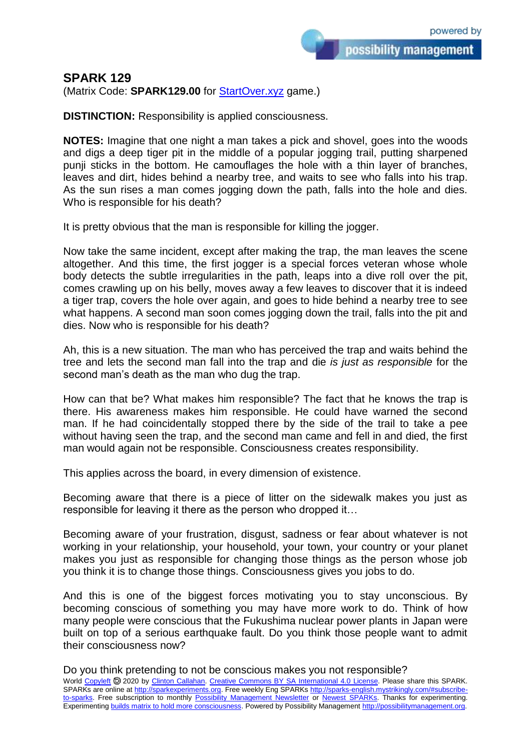## **SPARK 129**

(Matrix Code: **SPARK129.00** for **StartOver.xyz** game.)

**DISTINCTION:** Responsibility is applied consciousness.

**NOTES:** Imagine that one night a man takes a pick and shovel, goes into the woods and digs a deep tiger pit in the middle of a popular jogging trail, putting sharpened punji sticks in the bottom. He camouflages the hole with a thin layer of branches, leaves and dirt, hides behind a nearby tree, and waits to see who falls into his trap. As the sun rises a man comes jogging down the path, falls into the hole and dies. Who is responsible for his death?

It is pretty obvious that the man is responsible for killing the jogger.

Now take the same incident, except after making the trap, the man leaves the scene altogether. And this time, the first jogger is a special forces veteran whose whole body detects the subtle irregularities in the path, leaps into a dive roll over the pit, comes crawling up on his belly, moves away a few leaves to discover that it is indeed a tiger trap, covers the hole over again, and goes to hide behind a nearby tree to see what happens. A second man soon comes jogging down the trail, falls into the pit and dies. Now who is responsible for his death?

Ah, this is a new situation. The man who has perceived the trap and waits behind the tree and lets the second man fall into the trap and die *is just as responsible* for the second man's death as the man who dug the trap.

How can that be? What makes him responsible? The fact that he knows the trap is there. His awareness makes him responsible. He could have warned the second man. If he had coincidentally stopped there by the side of the trail to take a pee without having seen the trap, and the second man came and fell in and died, the first man would again not be responsible. Consciousness creates responsibility.

This applies across the board, in every dimension of existence.

Becoming aware that there is a piece of litter on the sidewalk makes you just as responsible for leaving it there as the person who dropped it…

Becoming aware of your frustration, disgust, sadness or fear about whatever is not working in your relationship, your household, your town, your country or your planet makes you just as responsible for changing those things as the person whose job you think it is to change those things. Consciousness gives you jobs to do.

And this is one of the biggest forces motivating you to stay unconscious. By becoming conscious of something you may have more work to do. Think of how many people were conscious that the Fukushima nuclear power plants in Japan were built on top of a serious earthquake fault. Do you think those people want to admit their consciousness now?

Do you think pretending to not be conscious makes you not responsible?

World [Copyleft](https://en.wikipedia.org/wiki/Copyleft) 2020 by [Clinton Callahan.](http://clintoncallahan.mystrikingly.com/) [Creative Commons BY SA International 4.0 License.](https://creativecommons.org/licenses/by-sa/4.0/) Please share this SPARK. SPARKs are online at [http://sparkexperiments.org.](http://sparks-english.mystrikingly.com/) Free weekly Eng SPARKs [http://sparks-english.mystrikingly.com/#subscribe](http://sparks-english.mystrikingly.com/#subscribe-to-sparks)[to-sparks.](http://sparks-english.mystrikingly.com/#subscribe-to-sparks) Free subscription to monthly [Possibility Management Newsletter](https://possibilitymanagement.org/news/) or [Newest SPARKs.](https://www.clintoncallahan.org/newsletter-1) Thanks for experimenting. Experimentin[g builds matrix to hold more consciousness.](http://spaceport.mystrikingly.com/) Powered by Possibility Managemen[t http://possibilitymanagement.org.](http://possibilitymanagement.org/)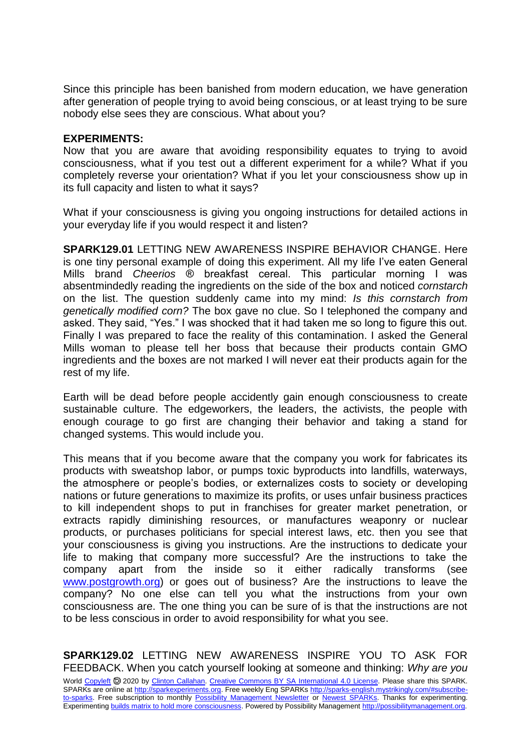Since this principle has been banished from modern education, we have generation after generation of people trying to avoid being conscious, or at least trying to be sure nobody else sees they are conscious. What about you?

## **EXPERIMENTS:**

Now that you are aware that avoiding responsibility equates to trying to avoid consciousness, what if you test out a different experiment for a while? What if you completely reverse your orientation? What if you let your consciousness show up in its full capacity and listen to what it says?

What if your consciousness is giving you ongoing instructions for detailed actions in your everyday life if you would respect it and listen?

**SPARK129.01** LETTING NEW AWARENESS INSPIRE BEHAVIOR CHANGE. Here is one tiny personal example of doing this experiment. All my life I've eaten General Mills brand *Cheerios* ® breakfast cereal. This particular morning I was absentmindedly reading the ingredients on the side of the box and noticed *cornstarch* on the list. The question suddenly came into my mind: *Is this cornstarch from genetically modified corn?* The box gave no clue. So I telephoned the company and asked. They said, "Yes." I was shocked that it had taken me so long to figure this out. Finally I was prepared to face the reality of this contamination. I asked the General Mills woman to please tell her boss that because their products contain GMO ingredients and the boxes are not marked I will never eat their products again for the rest of my life.

Earth will be dead before people accidently gain enough consciousness to create sustainable culture. The edgeworkers, the leaders, the activists, the people with enough courage to go first are changing their behavior and taking a stand for changed systems. This would include you.

This means that if you become aware that the company you work for fabricates its products with sweatshop labor, or pumps toxic byproducts into landfills, waterways, the atmosphere or people's bodies, or externalizes costs to society or developing nations or future generations to maximize its profits, or uses unfair business practices to kill independent shops to put in franchises for greater market penetration, or extracts rapidly diminishing resources, or manufactures weaponry or nuclear products, or purchases politicians for special interest laws, etc. then you see that your consciousness is giving you instructions. Are the instructions to dedicate your life to making that company more successful? Are the instructions to take the company apart from the inside so it either radically transforms (see [www.postgrowth.org\)](http://www.postgrowth.org/) or goes out of business? Are the instructions to leave the company? No one else can tell you what the instructions from your own consciousness are. The one thing you can be sure of is that the instructions are not to be less conscious in order to avoid responsibility for what you see.

**SPARK129.02** LETTING NEW AWARENESS INSPIRE YOU TO ASK FOR FEEDBACK. When you catch yourself looking at someone and thinking: *Why are you*